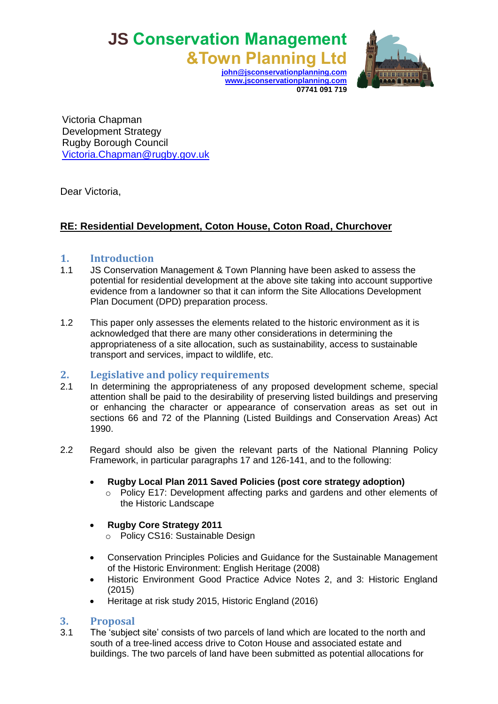**JS Conservation Management**

**&Town Planning Ltd [john@jsconservationplanning.com](mailto:john@jsconservationplanning.com) [www.jsconservationplanning.com](http://www.jsconservationplanning.com/) 07741 091 719**

Victoria Chapman Development Strategy Rugby Borough Council [Victoria.Chapman@rugby.gov.uk](mailto:Victoria.Chapman@rugby.gov.uk)

Dear Victoria,

# **RE: Residential Development, Coton House, Coton Road, Churchover**

## **1. Introduction**

- 1.1 JS Conservation Management & Town Planning have been asked to assess the potential for residential development at the above site taking into account supportive evidence from a landowner so that it can inform the Site Allocations Development Plan Document (DPD) preparation process.
- 1.2 This paper only assesses the elements related to the historic environment as it is acknowledged that there are many other considerations in determining the appropriateness of a site allocation, such as sustainability, access to sustainable transport and services, impact to wildlife, etc.

# **2. Legislative and policy requirements**

- 2.1 In determining the appropriateness of any proposed development scheme, special attention shall be paid to the desirability of preserving listed buildings and preserving or enhancing the character or appearance of conservation areas as set out in sections 66 and 72 of the Planning (Listed Buildings and Conservation Areas) Act 1990.
- 2.2 Regard should also be given the relevant parts of the National Planning Policy Framework, in particular paragraphs 17 and 126-141, and to the following:
	- **Rugby Local Plan 2011 Saved Policies (post core strategy adoption)**
		- $\circ$  Policy E17: Development affecting parks and gardens and other elements of the Historic Landscape

## **Rugby Core Strategy 2011**

- o Policy CS16: Sustainable Design
- Conservation Principles Policies and Guidance for the Sustainable Management of the Historic Environment: English Heritage (2008)
- Historic Environment Good Practice Advice Notes 2, and 3: Historic England (2015)
- Heritage at risk study 2015, Historic England (2016)

## **3. Proposal**

3.1 The 'subject site' consists of two parcels of land which are located to the north and south of a tree-lined access drive to Coton House and associated estate and buildings. The two parcels of land have been submitted as potential allocations for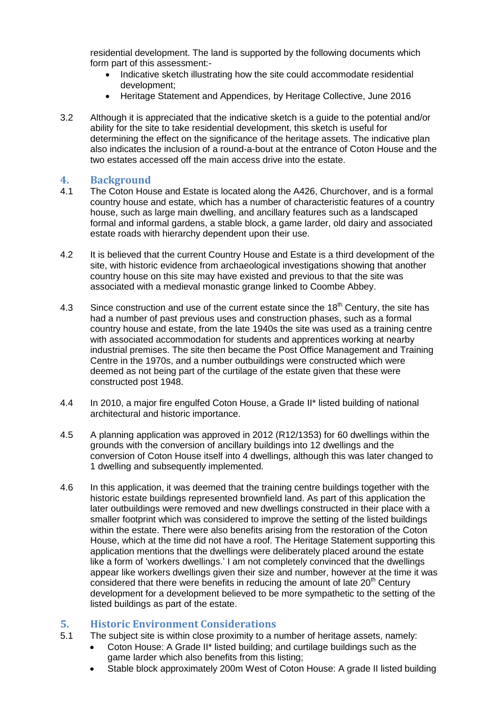residential development. The land is supported by the following documents which form part of this assessment:-

- Indicative sketch illustrating how the site could accommodate residential development;
- Heritage Statement and Appendices, by Heritage Collective, June 2016
- 3.2 Although it is appreciated that the indicative sketch is a guide to the potential and/or ability for the site to take residential development, this sketch is useful for determining the effect on the significance of the heritage assets. The indicative plan also indicates the inclusion of a round-a-bout at the entrance of Coton House and the two estates accessed off the main access drive into the estate.

### **4. Background**

- 4.1 The Coton House and Estate is located along the A426, Churchover, and is a formal country house and estate, which has a number of characteristic features of a country house, such as large main dwelling, and ancillary features such as a landscaped formal and informal gardens, a stable block, a game larder, old dairy and associated estate roads with hierarchy dependent upon their use.
- 4.2 It is believed that the current Country House and Estate is a third development of the site, with historic evidence from archaeological investigations showing that another country house on this site may have existed and previous to that the site was associated with a medieval monastic grange linked to Coombe Abbey.
- 4.3 Since construction and use of the current estate since the  $18<sup>th</sup>$  Century, the site has had a number of past previous uses and construction phases, such as a formal country house and estate, from the late 1940s the site was used as a training centre with associated accommodation for students and apprentices working at nearby industrial premises. The site then became the Post Office Management and Training Centre in the 1970s, and a number outbuildings were constructed which were deemed as not being part of the curtilage of the estate given that these were constructed post 1948.
- 4.4 In 2010, a major fire engulfed Coton House, a Grade II\* listed building of national architectural and historic importance.
- 4.5 A planning application was approved in 2012 (R12/1353) for 60 dwellings within the grounds with the conversion of ancillary buildings into 12 dwellings and the conversion of Coton House itself into 4 dwellings, although this was later changed to 1 dwelling and subsequently implemented.
- 4.6 In this application, it was deemed that the training centre buildings together with the historic estate buildings represented brownfield land. As part of this application the later outbuildings were removed and new dwellings constructed in their place with a smaller footprint which was considered to improve the setting of the listed buildings within the estate. There were also benefits arising from the restoration of the Coton House, which at the time did not have a roof. The Heritage Statement supporting this application mentions that the dwellings were deliberately placed around the estate like a form of 'workers dwellings.' I am not completely convinced that the dwellings appear like workers dwellings given their size and number, however at the time it was considered that there were benefits in reducing the amount of late  $20<sup>th</sup>$  Century development for a development believed to be more sympathetic to the setting of the listed buildings as part of the estate.

## **5. Historic Environment Considerations**

- 5.1 The subject site is within close proximity to a number of heritage assets, namely:
	- Coton House: A Grade II\* listed building; and curtilage buildings such as the game larder which also benefits from this listing;
	- Stable block approximately 200m West of Coton House: A grade II listed building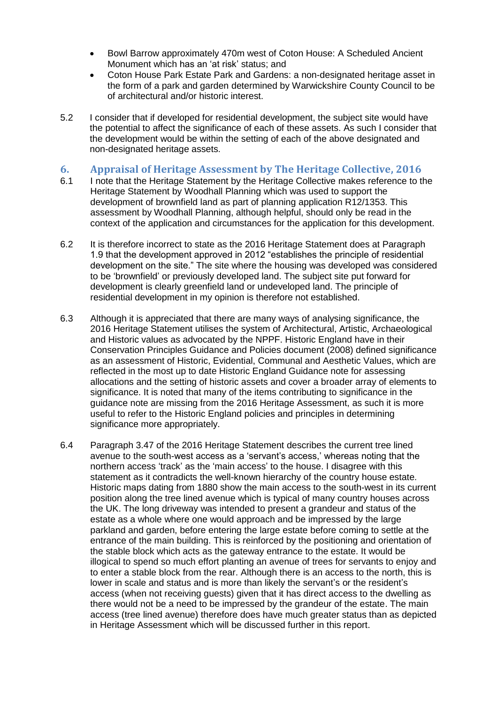- Bowl Barrow approximately 470m west of Coton House: A Scheduled Ancient Monument which has an 'at risk' status; and
- Coton House Park Estate Park and Gardens: a non-designated heritage asset in the form of a park and garden determined by Warwickshire County Council to be of architectural and/or historic interest.
- 5.2 I consider that if developed for residential development, the subject site would have the potential to affect the significance of each of these assets. As such I consider that the development would be within the setting of each of the above designated and non-designated heritage assets.

## **6. Appraisal of Heritage Assessment by The Heritage Collective, 2016**

- 6.1 I note that the Heritage Statement by the Heritage Collective makes reference to the Heritage Statement by Woodhall Planning which was used to support the development of brownfield land as part of planning application R12/1353. This assessment by Woodhall Planning, although helpful, should only be read in the context of the application and circumstances for the application for this development.
- 6.2 It is therefore incorrect to state as the 2016 Heritage Statement does at Paragraph 1.9 that the development approved in 2012 "establishes the principle of residential development on the site." The site where the housing was developed was considered to be 'brownfield' or previously developed land. The subject site put forward for development is clearly greenfield land or undeveloped land. The principle of residential development in my opinion is therefore not established.
- 6.3 Although it is appreciated that there are many ways of analysing significance, the 2016 Heritage Statement utilises the system of Architectural, Artistic, Archaeological and Historic values as advocated by the NPPF. Historic England have in their Conservation Principles Guidance and Policies document (2008) defined significance as an assessment of Historic, Evidential, Communal and Aesthetic Values, which are reflected in the most up to date Historic England Guidance note for assessing allocations and the setting of historic assets and cover a broader array of elements to significance. It is noted that many of the items contributing to significance in the guidance note are missing from the 2016 Heritage Assessment, as such it is more useful to refer to the Historic England policies and principles in determining significance more appropriately.
- 6.4 Paragraph 3.47 of the 2016 Heritage Statement describes the current tree lined avenue to the south-west access as a 'servant's access,' whereas noting that the northern access 'track' as the 'main access' to the house. I disagree with this statement as it contradicts the well-known hierarchy of the country house estate. Historic maps dating from 1880 show the main access to the south-west in its current position along the tree lined avenue which is typical of many country houses across the UK. The long driveway was intended to present a grandeur and status of the estate as a whole where one would approach and be impressed by the large parkland and garden, before entering the large estate before coming to settle at the entrance of the main building. This is reinforced by the positioning and orientation of the stable block which acts as the gateway entrance to the estate. It would be illogical to spend so much effort planting an avenue of trees for servants to enjoy and to enter a stable block from the rear. Although there is an access to the north, this is lower in scale and status and is more than likely the servant's or the resident's access (when not receiving guests) given that it has direct access to the dwelling as there would not be a need to be impressed by the grandeur of the estate. The main access (tree lined avenue) therefore does have much greater status than as depicted in Heritage Assessment which will be discussed further in this report.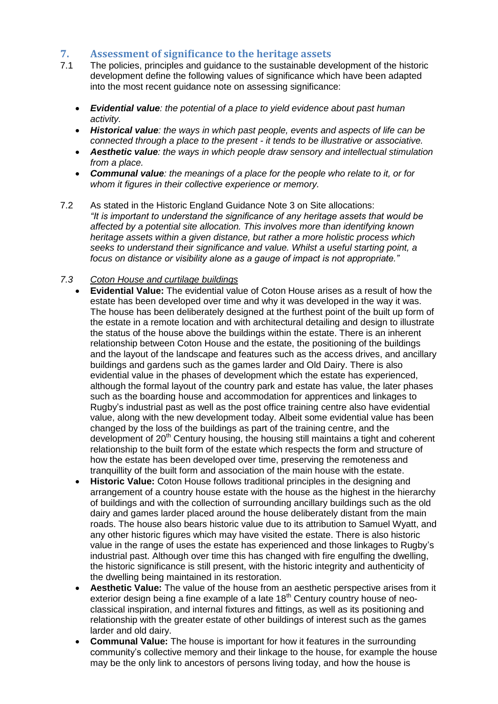# **7. Assessment of significance to the heritage assets**

- 7.1 The policies, principles and guidance to the sustainable development of the historic development define the following values of significance which have been adapted into the most recent guidance note on assessing significance:
	- *Evidential value: the potential of a place to yield evidence about past human activity.*
	- *Historical value: the ways in which past people, events and aspects of life can be connected through a place to the present - it tends to be illustrative or associative.*
	- *Aesthetic value: the ways in which people draw sensory and intellectual stimulation from a place.*
	- *Communal value: the meanings of a place for the people who relate to it, or for whom it figures in their collective experience or memory.*
- 7.2 As stated in the Historic England Guidance Note 3 on Site allocations: *"It is important to understand the significance of any heritage assets that would be affected by a potential site allocation. This involves more than identifying known heritage assets within a given distance, but rather a more holistic process which seeks to understand their significance and value. Whilst a useful starting point, a focus on distance or visibility alone as a gauge of impact is not appropriate."*

#### *7.3 Coton House and curtilage buildings*

- **Evidential Value:** The evidential value of Coton House arises as a result of how the estate has been developed over time and why it was developed in the way it was. The house has been deliberately designed at the furthest point of the built up form of the estate in a remote location and with architectural detailing and design to illustrate the status of the house above the buildings within the estate. There is an inherent relationship between Coton House and the estate, the positioning of the buildings and the layout of the landscape and features such as the access drives, and ancillary buildings and gardens such as the games larder and Old Dairy. There is also evidential value in the phases of development which the estate has experienced, although the formal layout of the country park and estate has value, the later phases such as the boarding house and accommodation for apprentices and linkages to Rugby's industrial past as well as the post office training centre also have evidential value, along with the new development today. Albeit some evidential value has been changed by the loss of the buildings as part of the training centre, and the development of 20<sup>th</sup> Century housing, the housing still maintains a tight and coherent relationship to the built form of the estate which respects the form and structure of how the estate has been developed over time, preserving the remoteness and tranquillity of the built form and association of the main house with the estate.
- **Historic Value:** Coton House follows traditional principles in the designing and arrangement of a country house estate with the house as the highest in the hierarchy of buildings and with the collection of surrounding ancillary buildings such as the old dairy and games larder placed around the house deliberately distant from the main roads. The house also bears historic value due to its attribution to Samuel Wyatt, and any other historic figures which may have visited the estate. There is also historic value in the range of uses the estate has experienced and those linkages to Rugby's industrial past. Although over time this has changed with fire engulfing the dwelling. the historic significance is still present, with the historic integrity and authenticity of the dwelling being maintained in its restoration.
- **Aesthetic Value:** The value of the house from an aesthetic perspective arises from it exterior design being a fine example of a late  $18<sup>th</sup>$  Century country house of neoclassical inspiration, and internal fixtures and fittings, as well as its positioning and relationship with the greater estate of other buildings of interest such as the games larder and old dairy.
- **Communal Value:** The house is important for how it features in the surrounding community's collective memory and their linkage to the house, for example the house may be the only link to ancestors of persons living today, and how the house is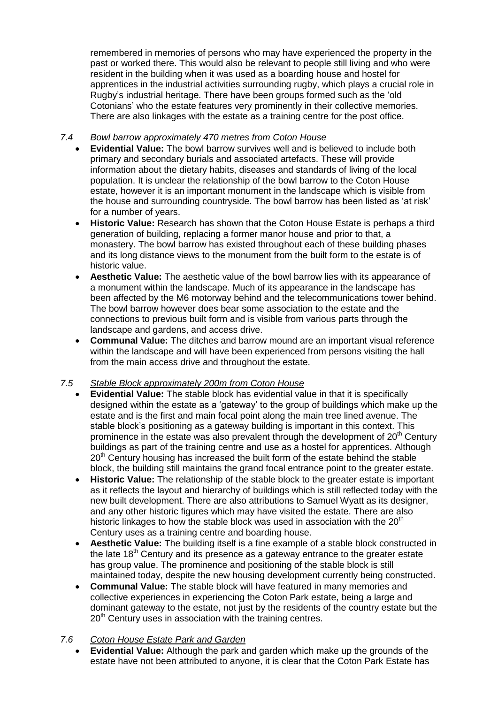remembered in memories of persons who may have experienced the property in the past or worked there. This would also be relevant to people still living and who were resident in the building when it was used as a boarding house and hostel for apprentices in the industrial activities surrounding rugby, which plays a crucial role in Rugby's industrial heritage. There have been groups formed such as the 'old Cotonians' who the estate features very prominently in their collective memories. There are also linkages with the estate as a training centre for the post office.

## *7.4 Bowl barrow approximately 470 metres from Coton House*

- **Evidential Value:** The bowl barrow survives well and is believed to include both primary and secondary burials and associated artefacts. These will provide information about the dietary habits, diseases and standards of living of the local population. It is unclear the relationship of the bowl barrow to the Coton House estate, however it is an important monument in the landscape which is visible from the house and surrounding countryside. The bowl barrow has been listed as 'at risk' for a number of years.
- **Historic Value:** Research has shown that the Coton House Estate is perhaps a third generation of building, replacing a former manor house and prior to that, a monastery. The bowl barrow has existed throughout each of these building phases and its long distance views to the monument from the built form to the estate is of historic value.
- **Aesthetic Value:** The aesthetic value of the bowl barrow lies with its appearance of a monument within the landscape. Much of its appearance in the landscape has been affected by the M6 motorway behind and the telecommunications tower behind. The bowl barrow however does bear some association to the estate and the connections to previous built form and is visible from various parts through the landscape and gardens, and access drive.
- **Communal Value:** The ditches and barrow mound are an important visual reference within the landscape and will have been experienced from persons visiting the hall from the main access drive and throughout the estate.

## *7.5 Stable Block approximately 200m from Coton House*

- **Evidential Value:** The stable block has evidential value in that it is specifically designed within the estate as a 'gateway' to the group of buildings which make up the estate and is the first and main focal point along the main tree lined avenue. The stable block's positioning as a gateway building is important in this context. This prominence in the estate was also prevalent through the development of  $20<sup>th</sup>$  Century buildings as part of the training centre and use as a hostel for apprentices. Although  $20<sup>th</sup>$  Century housing has increased the built form of the estate behind the stable block, the building still maintains the grand focal entrance point to the greater estate.
- **Historic Value:** The relationship of the stable block to the greater estate is important as it reflects the layout and hierarchy of buildings which is still reflected today with the new built development. There are also attributions to Samuel Wyatt as its designer, and any other historic figures which may have visited the estate. There are also historic linkages to how the stable block was used in association with the  $20<sup>th</sup>$ Century uses as a training centre and boarding house.
- **Aesthetic Value:** The building itself is a fine example of a stable block constructed in the late  $18<sup>th</sup>$  Century and its presence as a gateway entrance to the greater estate has group value. The prominence and positioning of the stable block is still maintained today, despite the new housing development currently being constructed.
- **Communal Value:** The stable block will have featured in many memories and collective experiences in experiencing the Coton Park estate, being a large and dominant gateway to the estate, not just by the residents of the country estate but the 20<sup>th</sup> Century uses in association with the training centres.

#### *7.6 Coton House Estate Park and Garden*

 **Evidential Value:** Although the park and garden which make up the grounds of the estate have not been attributed to anyone, it is clear that the Coton Park Estate has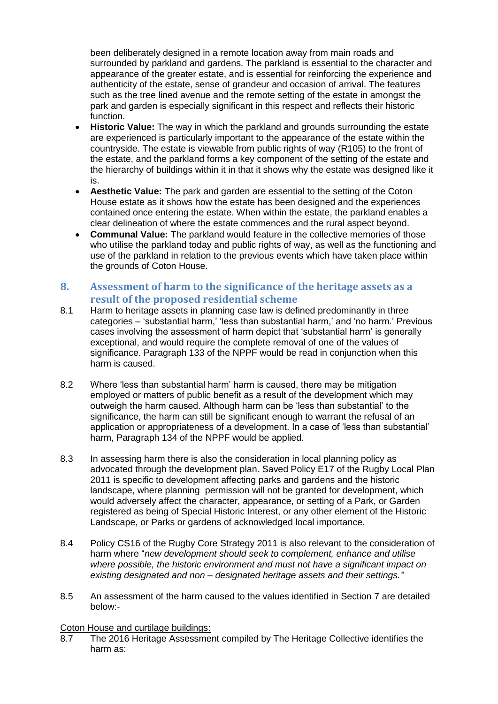been deliberately designed in a remote location away from main roads and surrounded by parkland and gardens. The parkland is essential to the character and appearance of the greater estate, and is essential for reinforcing the experience and authenticity of the estate, sense of grandeur and occasion of arrival. The features such as the tree lined avenue and the remote setting of the estate in amongst the park and garden is especially significant in this respect and reflects their historic function.

- **Historic Value:** The way in which the parkland and grounds surrounding the estate are experienced is particularly important to the appearance of the estate within the countryside. The estate is viewable from public rights of way (R105) to the front of the estate, and the parkland forms a key component of the setting of the estate and the hierarchy of buildings within it in that it shows why the estate was designed like it is.
- **Aesthetic Value:** The park and garden are essential to the setting of the Coton House estate as it shows how the estate has been designed and the experiences contained once entering the estate. When within the estate, the parkland enables a clear delineation of where the estate commences and the rural aspect beyond.
- **Communal Value:** The parkland would feature in the collective memories of those who utilise the parkland today and public rights of way, as well as the functioning and use of the parkland in relation to the previous events which have taken place within the grounds of Coton House.

## **8. Assessment of harm to the significance of the heritage assets as a result of the proposed residential scheme**

- 8.1 Harm to heritage assets in planning case law is defined predominantly in three categories – 'substantial harm,' 'less than substantial harm,' and 'no harm.' Previous cases involving the assessment of harm depict that 'substantial harm' is generally exceptional, and would require the complete removal of one of the values of significance. Paragraph 133 of the NPPF would be read in conjunction when this harm is caused.
- 8.2 Where 'less than substantial harm' harm is caused, there may be mitigation employed or matters of public benefit as a result of the development which may outweigh the harm caused. Although harm can be 'less than substantial' to the significance, the harm can still be significant enough to warrant the refusal of an application or appropriateness of a development. In a case of 'less than substantial' harm, Paragraph 134 of the NPPF would be applied.
- 8.3 In assessing harm there is also the consideration in local planning policy as advocated through the development plan. Saved Policy E17 of the Rugby Local Plan 2011 is specific to development affecting parks and gardens and the historic landscape, where planning permission will not be granted for development, which would adversely affect the character, appearance, or setting of a Park, or Garden registered as being of Special Historic Interest, or any other element of the Historic Landscape, or Parks or gardens of acknowledged local importance.
- 8.4 Policy CS16 of the Rugby Core Strategy 2011 is also relevant to the consideration of harm where "*new development should seek to complement, enhance and utilise where possible, the historic environment and must not have a significant impact on existing designated and non – designated heritage assets and their settings."*
- 8.5 An assessment of the harm caused to the values identified in Section 7 are detailed below:-

#### Coton House and curtilage buildings:

8.7 The 2016 Heritage Assessment compiled by The Heritage Collective identifies the harm as: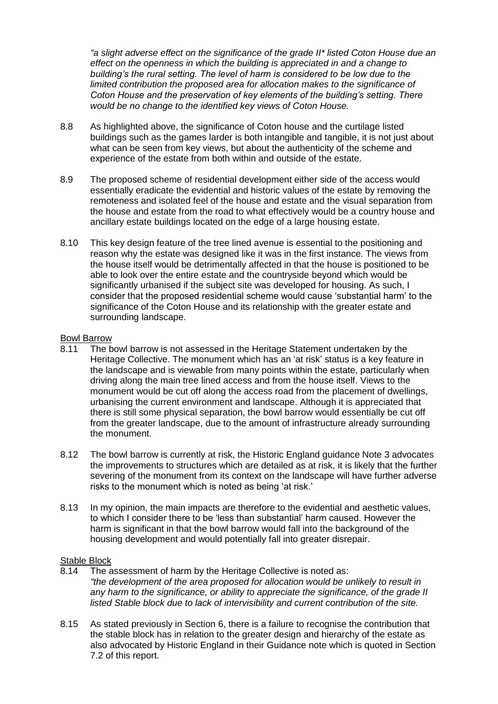*"a slight adverse effect on the significance of the grade II\* listed Coton House due an effect on the openness in which the building is appreciated in and a change to building's the rural setting. The level of harm is considered to be low due to the limited contribution the proposed area for allocation makes to the significance of Coton House and the preservation of key elements of the building's setting. There would be no change to the identified key views of Coton House.*

- 8.8 As highlighted above, the significance of Coton house and the curtilage listed buildings such as the games larder is both intangible and tangible, it is not just about what can be seen from key views, but about the authenticity of the scheme and experience of the estate from both within and outside of the estate.
- 8.9 The proposed scheme of residential development either side of the access would essentially eradicate the evidential and historic values of the estate by removing the remoteness and isolated feel of the house and estate and the visual separation from the house and estate from the road to what effectively would be a country house and ancillary estate buildings located on the edge of a large housing estate.
- 8.10 This key design feature of the tree lined avenue is essential to the positioning and reason why the estate was designed like it was in the first instance. The views from the house itself would be detrimentally affected in that the house is positioned to be able to look over the entire estate and the countryside beyond which would be significantly urbanised if the subject site was developed for housing. As such, I consider that the proposed residential scheme would cause 'substantial harm' to the significance of the Coton House and its relationship with the greater estate and surrounding landscape.

#### Bowl Barrow

- 8.11 The bowl barrow is not assessed in the Heritage Statement undertaken by the Heritage Collective. The monument which has an 'at risk' status is a key feature in the landscape and is viewable from many points within the estate, particularly when driving along the main tree lined access and from the house itself. Views to the monument would be cut off along the access road from the placement of dwellings, urbanising the current environment and landscape. Although it is appreciated that there is still some physical separation, the bowl barrow would essentially be cut off from the greater landscape, due to the amount of infrastructure already surrounding the monument.
- 8.12 The bowl barrow is currently at risk, the Historic England guidance Note 3 advocates the improvements to structures which are detailed as at risk, it is likely that the further severing of the monument from its context on the landscape will have further adverse risks to the monument which is noted as being 'at risk.'
- 8.13 In my opinion, the main impacts are therefore to the evidential and aesthetic values, to which I consider there to be 'less than substantial' harm caused. However the harm is significant in that the bowl barrow would fall into the background of the housing development and would potentially fall into greater disrepair.

#### Stable Block

- 8.14 The assessment of harm by the Heritage Collective is noted as: *"the development of the area proposed for allocation would be unlikely to result in any harm to the significance, or ability to appreciate the significance, of the grade II listed Stable block due to lack of intervisibility and current contribution of the site.*
- 8.15 As stated previously in Section 6, there is a failure to recognise the contribution that the stable block has in relation to the greater design and hierarchy of the estate as also advocated by Historic England in their Guidance note which is quoted in Section 7.2 of this report.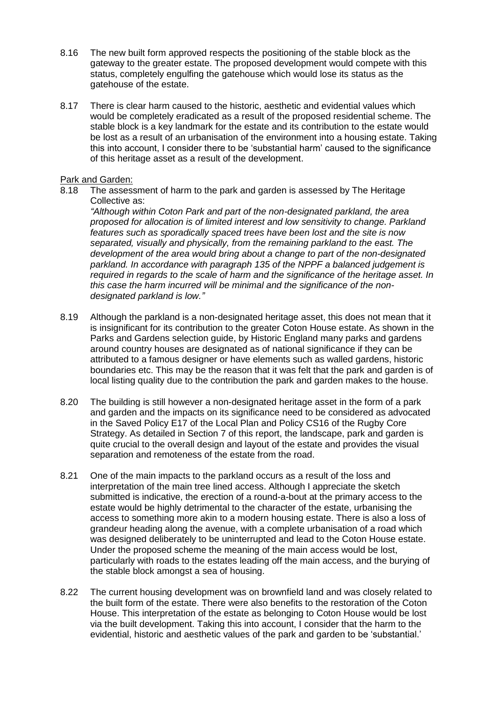- 8.16 The new built form approved respects the positioning of the stable block as the gateway to the greater estate. The proposed development would compete with this status, completely engulfing the gatehouse which would lose its status as the gatehouse of the estate.
- 8.17 There is clear harm caused to the historic, aesthetic and evidential values which would be completely eradicated as a result of the proposed residential scheme. The stable block is a key landmark for the estate and its contribution to the estate would be lost as a result of an urbanisation of the environment into a housing estate. Taking this into account, I consider there to be 'substantial harm' caused to the significance of this heritage asset as a result of the development.

#### Park and Garden:

8.18 The assessment of harm to the park and garden is assessed by The Heritage Collective as:

*"Although within Coton Park and part of the non-designated parkland, the area proposed for allocation is of limited interest and low sensitivity to change. Parkland features such as sporadically spaced trees have been lost and the site is now separated, visually and physically, from the remaining parkland to the east. The development of the area would bring about a change to part of the non-designated parkland. In accordance with paragraph 135 of the NPPF a balanced judgement is required in regards to the scale of harm and the significance of the heritage asset. In this case the harm incurred will be minimal and the significance of the nondesignated parkland is low."*

- 8.19 Although the parkland is a non-designated heritage asset, this does not mean that it is insignificant for its contribution to the greater Coton House estate. As shown in the Parks and Gardens selection guide, by Historic England many parks and gardens around country houses are designated as of national significance if they can be attributed to a famous designer or have elements such as walled gardens, historic boundaries etc. This may be the reason that it was felt that the park and garden is of local listing quality due to the contribution the park and garden makes to the house.
- 8.20 The building is still however a non-designated heritage asset in the form of a park and garden and the impacts on its significance need to be considered as advocated in the Saved Policy E17 of the Local Plan and Policy CS16 of the Rugby Core Strategy. As detailed in Section 7 of this report, the landscape, park and garden is quite crucial to the overall design and layout of the estate and provides the visual separation and remoteness of the estate from the road.
- 8.21 One of the main impacts to the parkland occurs as a result of the loss and interpretation of the main tree lined access. Although I appreciate the sketch submitted is indicative, the erection of a round-a-bout at the primary access to the estate would be highly detrimental to the character of the estate, urbanising the access to something more akin to a modern housing estate. There is also a loss of grandeur heading along the avenue, with a complete urbanisation of a road which was designed deliberately to be uninterrupted and lead to the Coton House estate. Under the proposed scheme the meaning of the main access would be lost, particularly with roads to the estates leading off the main access, and the burying of the stable block amongst a sea of housing.
- 8.22 The current housing development was on brownfield land and was closely related to the built form of the estate. There were also benefits to the restoration of the Coton House. This interpretation of the estate as belonging to Coton House would be lost via the built development. Taking this into account, I consider that the harm to the evidential, historic and aesthetic values of the park and garden to be 'substantial.'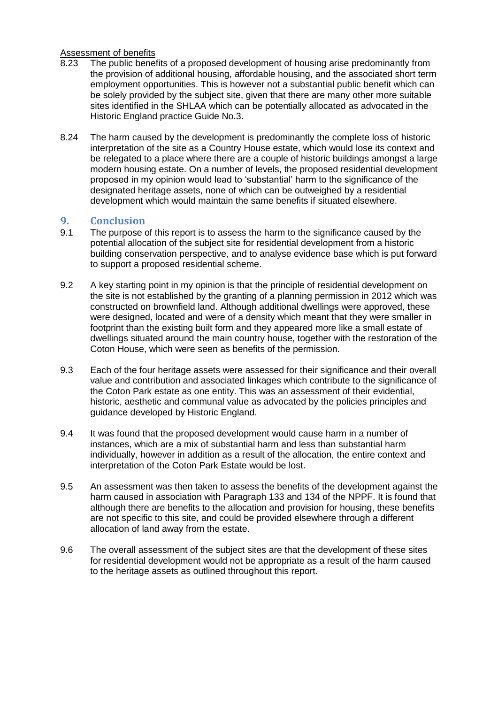#### Assessment of benefits

- 8.23 The public benefits of a proposed development of housing arise predominantly from the provision of additional housing, affordable housing, and the associated short term employment opportunities. This is however not a substantial public benefit which can be solely provided by the subject site, given that there are many other more suitable sites identified in the SHLAA which can be potentially allocated as advocated in the Historic England practice Guide No.3.
- 8.24 The harm caused by the development is predominantly the complete loss of historic interpretation of the site as a Country House estate, which would lose its context and be relegated to a place where there are a couple of historic buildings amongst a large modern housing estate. On a number of levels, the proposed residential development proposed in my opinion would lead to 'substantial' harm to the significance of the designated heritage assets, none of which can be outweighed by a residential development which would maintain the same benefits if situated elsewhere.

### **9. Conclusion**

- 9.1 The purpose of this report is to assess the harm to the significance caused by the potential allocation of the subject site for residential development from a historic building conservation perspective, and to analyse evidence base which is put forward to support a proposed residential scheme.
- 9.2 A key starting point in my opinion is that the principle of residential development on the site is not established by the granting of a planning permission in 2012 which was constructed on brownfield land. Although additional dwellings were approved, these were designed, located and were of a density which meant that they were smaller in footprint than the existing built form and they appeared more like a small estate of dwellings situated around the main country house, together with the restoration of the Coton House, which were seen as benefits of the permission.
- 9.3 Each of the four heritage assets were assessed for their significance and their overall value and contribution and associated linkages which contribute to the significance of the Coton Park estate as one entity. This was an assessment of their evidential, historic, aesthetic and communal value as advocated by the policies principles and guidance developed by Historic England.
- 9.4 It was found that the proposed development would cause harm in a number of instances, which are a mix of substantial harm and less than substantial harm individually, however in addition as a result of the allocation, the entire context and interpretation of the Coton Park Estate would be lost.
- 9.5 An assessment was then taken to assess the benefits of the development against the harm caused in association with Paragraph 133 and 134 of the NPPF. It is found that although there are benefits to the allocation and provision for housing, these benefits are not specific to this site, and could be provided elsewhere through a different allocation of land away from the estate.
- 9.6 The overall assessment of the subject sites are that the development of these sites for residential development would not be appropriate as a result of the harm caused to the heritage assets as outlined throughout this report.